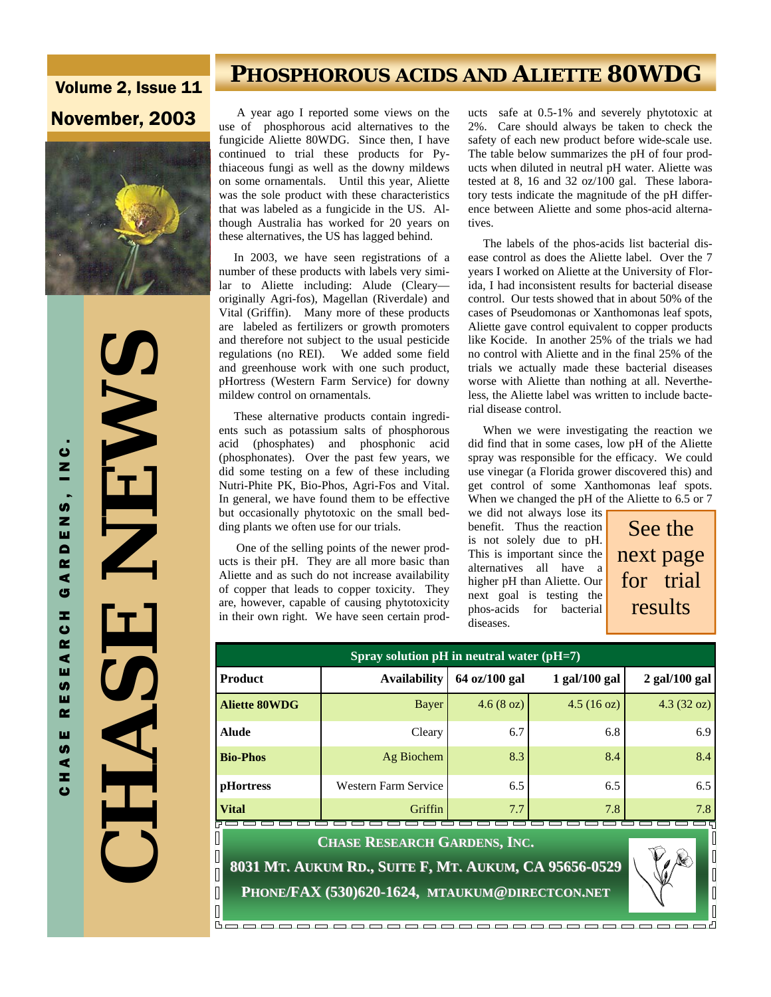# Volume 2, Issue 11



 **CHASE NEWS ALENEZ**  $\mathbf{r}'$ **ACTES** 

 $\overline{\mathbb{I}}$ 

 $\hfill\Box$  $\overline{\mathbb{R}}$ 

CHASE RESEARCH GARDENS, INC.

R C H

⋖ ш

U) ш  $\sim$ ш  $\frac{1}{9}$ z,  $\ddot{\mathbf{c}}$ 

 $\overline{\mathbf{A}}$ G

U<br>N<br>N

RDENS,

## **PHOSPHOROUS ACIDS AND ALIETTE 80WDG**

**November, 2003** A year ago I reported some views on the use of phosphorous acid alternatives to the fungicide Aliette 80WDG. Since then, I have continued to trial these products for Pythiaceous fungi as well as the downy mildews on some ornamentals. Until this year, Aliette was the sole product with these characteristics that was labeled as a fungicide in the US. Although Australia has worked for 20 years on these alternatives, the US has lagged behind.

> In 2003, we have seen registrations of a number of these products with labels very similar to Aliette including: Alude (Cleary originally Agri-fos), Magellan (Riverdale) and Vital (Griffin). Many more of these products are labeled as fertilizers or growth promoters and therefore not subject to the usual pesticide<br>regulations (no REI). We added some field We added some field and greenhouse work with one such product, pHortress (Western Farm Service) for downy mildew control on ornamentals.

> These alternative products contain ingredients such as potassium salts of phosphorous acid (phosphates) and phosphonic acid (phosphonates). Over the past few years, we did some testing on a few of these including Nutri-Phite PK, Bio-Phos, Agri-Fos and Vital. In general, we have found them to be effective but occasionally phytotoxic on the small bedding plants we often use for our trials.

> One of the selling points of the newer products is their pH. They are all more basic than Aliette and as such do not increase availability of copper that leads to copper toxicity. They are, however, capable of causing phytotoxicity in their own right. We have seen certain prod

ucts safe at 0.5-1% and severely phytotoxic at 2%. Care should always be taken to check the safety of each new product before wide-scale use. The table below summarizes the pH of four products when diluted in neutral pH water. Aliette was tested at 8, 16 and 32 oz/100 gal. These laboratory tests indicate the magnitude of the pH difference between Aliette and some phos-acid alternatives.

 The labels of the phos-acids list bacterial disease control as does the Aliette label. Over the 7 years I worked on Aliette at the University of Florida, I had inconsistent results for bacterial disease control. Our tests showed that in about 50% of the cases of Pseudomonas or Xanthomonas leaf spots, Aliette gave control equivalent to copper products like Kocide. In another 25% of the trials we had no control with Aliette and in the final 25% of the trials we actually made these bacterial diseases worse with Aliette than nothing at all. Nevertheless, the Aliette label was written to include bacterial disease control.

 When we were investigating the reaction we did find that in some cases, low pH of the Aliette spray was responsible for the efficacy. We could use vinegar (a Florida grower discovered this) and get control of some Xanthomonas leaf spots. When we changed the pH of the Aliette to 6.5 or 7 we did not always lose its

benefit. Thus the reaction is not solely due to pH. This is important since the alternatives all have a higher pH than Aliette. Our next goal is testing the phos-acids for bacterial diseases.

See the next page for trial results

| Spray solution $pH$ in neutral water ( $pH=7$ ) |                      |                                 |                      |                      |  |
|-------------------------------------------------|----------------------|---------------------------------|----------------------|----------------------|--|
| <b>Product</b>                                  | <b>Availability</b>  | $64 \text{ oz}/100 \text{ gal}$ | $1$ gal/ $100$ gal   | $2$ gal/100 gal      |  |
| <b>Aliette 80WDG</b>                            | Bayer                | $4.6(8 \text{ oz})$             | $4.5(16 \text{ oz})$ | $4.3(32 \text{ oz})$ |  |
| <b>Alude</b>                                    | Cleary               | 6.7                             | 6.8                  | 6.9                  |  |
| <b>Bio-Phos</b>                                 | Ag Biochem           | 8.3                             | 8.4                  | 8.4                  |  |
| <b>pHortress</b>                                | Western Farm Service | 6.5                             | 6.5                  | 6.5                  |  |
| <b>Vital</b>                                    | Griffin              | 7.7                             | 7.8                  | 7.8                  |  |
| <b>CHASE RESEARCH GARDENS, INC.</b>             |                      |                                 |                      |                      |  |

**8031 MT. AUKUM RD., SUITE F, MT. AUKUM, CA 95656 , CA 95656-0529 PHONE/FAX (530)620 /FAX (530)620-1624, MTAUKUM@DIRECTCON.NET**



 $\begin{bmatrix} \phantom{-} \end{bmatrix}$  $\overline{\mathbb{I}}$ 

 $\sqrt{2}$ 

BE.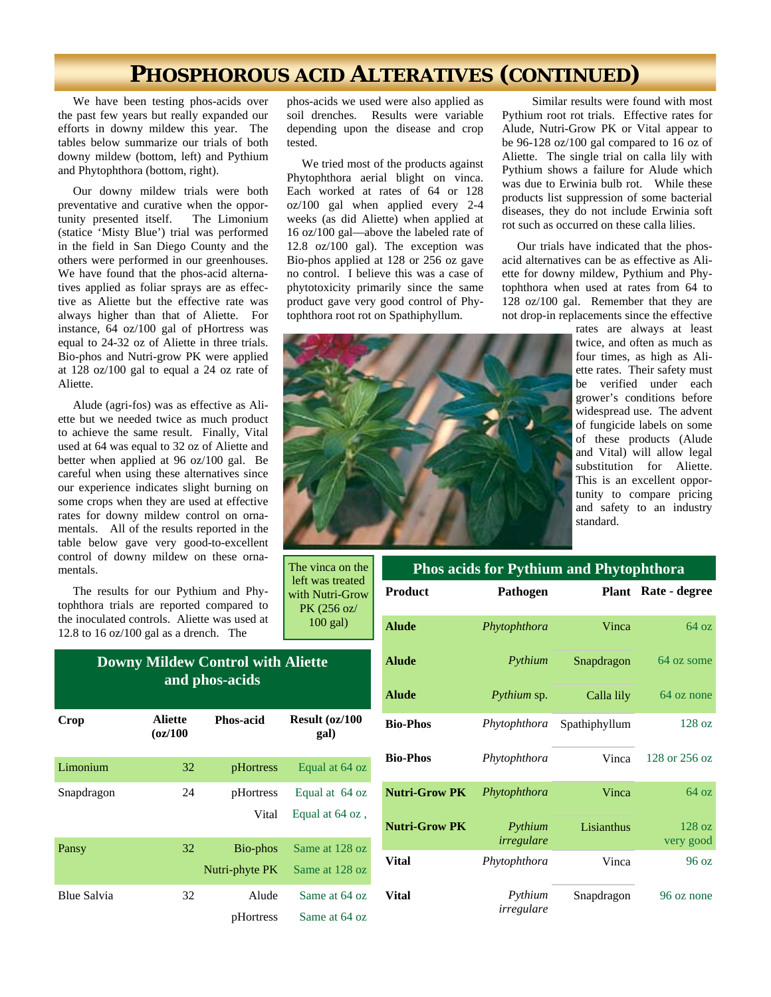### **PHOSPHOROUS ACID ALTERATIVES (CONTINUED)**

 We have been testing phos-acids over the past few years but really expanded our efforts in downy mildew this year. The tables below summarize our trials of both downy mildew (bottom, left) and Pythium and Phytophthora (bottom, right).

 Our downy mildew trials were both preventative and curative when the opportunity presented itself. The Limonium (statice 'Misty Blue') trial was performed in the field in San Diego County and the others were performed in our greenhouses. We have found that the phos-acid alternatives applied as foliar sprays are as effective as Aliette but the effective rate was always higher than that of Aliette. For instance, 64 oz/100 gal of pHortress was equal to 24-32 oz of Aliette in three trials. Bio-phos and Nutri-grow PK were applied at 128 oz/100 gal to equal a 24 oz rate of Aliette.

 Alude (agri-fos) was as effective as Aliette but we needed twice as much product to achieve the same result. Finally, Vital used at 64 was equal to 32 oz of Aliette and better when applied at 96 oz/100 gal. Be careful when using these alternatives since our experience indicates slight burning on some crops when they are used at effective rates for downy mildew control on ornamentals. All of the results reported in the table below gave very good-to-excellent control of downy mildew on these ornamentals.

 The results for our Pythium and Phytophthora trials are reported compared to the inoculated controls. Aliette was used at 12.8 to 16 oz/100 gal as a drench. The

| Crop        | <b>Aliette</b><br>$\sigma$ z/100 | <b>Phos-acid</b> | Result (oz/100<br>gal) |  |
|-------------|----------------------------------|------------------|------------------------|--|
| Limonium    | 32                               | pHortress        | Equal at 64 oz         |  |
| Snapdragon  | 24                               | pHortress        | Equal at 64 oz         |  |
|             |                                  | Vital            | Equal at 64 oz,        |  |
| Pansy       | 32                               | Bio-phos         | Same at 128 oz         |  |
|             |                                  | Nutri-phyte PK   | Same at 128 oz         |  |
| Blue Salvia | 32                               | Alude            | Same at 64 oz          |  |
|             |                                  | pHortress        | Same at 64 oz          |  |

**Downy Mildew Control with Aliette and phos-acids** 

phos-acids we used were also applied as soil drenches. Results were variable depending upon the disease and crop tested.

 We tried most of the products against Phytophthora aerial blight on vinca. Each worked at rates of 64 or 128 oz/100 gal when applied every 2-4 weeks (as did Aliette) when applied at 16 oz/100 gal—above the labeled rate of 12.8 oz/100 gal). The exception was Bio-phos applied at 128 or 256 oz gave no control. I believe this was a case of phytotoxicity primarily since the same product gave very good control of Phytophthora root rot on Spathiphyllum.



 Our trials have indicated that the phosacid alternatives can be as effective as Aliette for downy mildew, Pythium and Phytophthora when used at rates from 64 to 128 oz/100 gal. Remember that they are not drop-in replacements since the effective rates are always at least



The vinca on the left was treated with Nutri-Grow PK (256 oz/ 100 gal)

| <b>Phos acids for Pythium and Phytophthora</b> |                       |               |                     |
|------------------------------------------------|-----------------------|---------------|---------------------|
| <b>Product</b>                                 | Pathogen              |               | Plant Rate - degree |
| <b>Alude</b>                                   | Phytophthora          | Vinca         | 64 oz               |
| <b>Alude</b>                                   | Pythium               | Snapdragon    | 64 oz some          |
| <b>Alude</b>                                   | Pythium sp.           | Calla lily    | 64 oz none          |
| <b>Bio-Phos</b>                                | Phytophthora          | Spathiphyllum | 128 oz              |
| <b>Bio-Phos</b>                                | Phytophthora          | Vinca         | 128 or 256 oz       |
| <b>Nutri-Grow PK</b>                           | Phytophthora          | Vinca         | 64 oz               |
| <b>Nutri-Grow PK</b>                           | Pythium<br>irregulare | Lisianthus    | 128 oz<br>very good |
| Vital                                          | Phytophthora          | Vinca         | 96 oz               |
| Vital                                          | Pythium<br>irregulare | Snapdragon    | 96 oz none          |

#### twice, and often as much as four times, as high as Aliette rates. Their safety must be verified under each grower's conditions before widespread use. The advent of fungicide labels on some of these products (Alude and Vital) will allow legal substitution for Aliette. This is an excellent opportunity to compare pricing and safety to an industry standard.